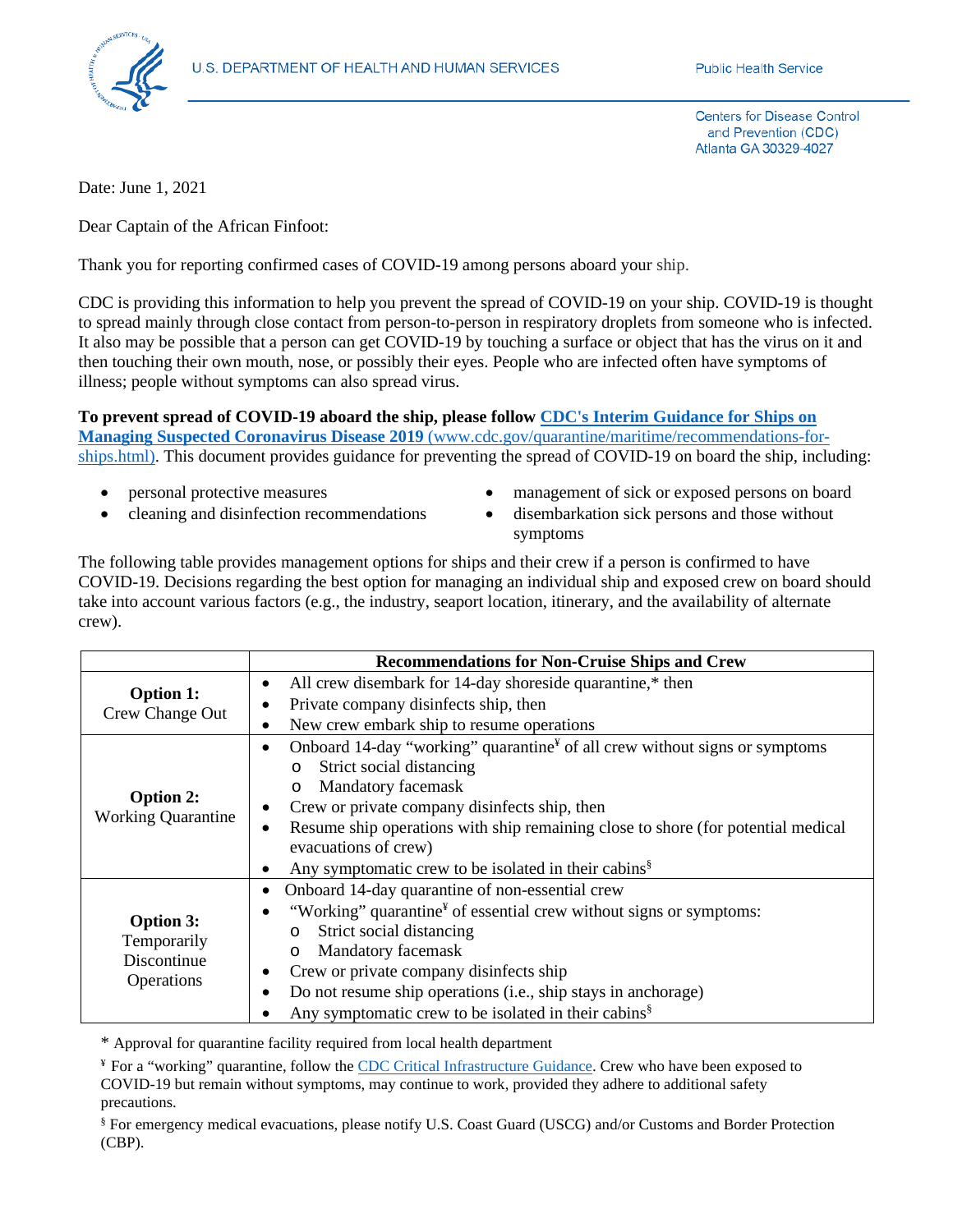

**Centers for Disease Control** and Prevention (CDC) Atlanta GA 30329-4027

Date: June 1, 2021

Dear Captain of the African Finfoot:

Thank you for reporting confirmed cases of COVID-19 among persons aboard your ship.

CDC is providing this information to help you prevent the spread of COVID-19 on your ship. COVID-19 is thought to spread mainly through close contact from person-to-person in respiratory droplets from someone who is infected. It also may be possible that a person can get COVID-19 by touching a surface or object that has the virus on it and then touching their own mouth, nose, or possibly their eyes. People who are infected often have symptoms of illness; people without symptoms can also spread virus.

**To prevent spread of COVID-19 aboard the ship, please follow [CDC's Interim Guidance for Ships on](https://www.cdc.gov/quarantine/maritime/recommendations-for-ships.html)  [Managing Suspected Coronavirus Disease 2019](https://www.cdc.gov/quarantine/maritime/recommendations-for-ships.html)** (www.cdc.gov/quarantine/maritime/recommendations-forships.html). This document provides guidance for preventing the spread of COVID-19 on board the ship, including:

- 
- 
- personal protective measures management of sick or exposed persons on board
	- cleaning and disinfection recommendations disembarkation sick persons and those without symptoms

The following table provides management options for ships and their crew if a person is confirmed to have COVID-19. Decisions regarding the best option for managing an individual ship and exposed crew on board should take into account various factors (e.g., the industry, seaport location, itinerary, and the availability of alternate crew).

|                                                              | <b>Recommendations for Non-Cruise Ships and Crew</b>                                                |
|--------------------------------------------------------------|-----------------------------------------------------------------------------------------------------|
| <b>Option 1:</b><br>Crew Change Out                          | All crew disembark for 14-day shoreside quarantine,* then<br>$\bullet$                              |
|                                                              | Private company disinfects ship, then<br>$\bullet$                                                  |
|                                                              | New crew embark ship to resume operations<br>٠                                                      |
| <b>Option 2:</b><br><b>Working Quarantine</b>                | Onboard 14-day "working" quarantine $\mathbf{F}$ of all crew without signs or symptoms<br>$\bullet$ |
|                                                              | Strict social distancing<br>$\circ$                                                                 |
|                                                              | Mandatory facemask<br>$\circ$                                                                       |
|                                                              | Crew or private company disinfects ship, then                                                       |
|                                                              | Resume ship operations with ship remaining close to shore (for potential medical<br>$\bullet$       |
|                                                              | evacuations of crew)                                                                                |
|                                                              | Any symptomatic crew to be isolated in their cabins <sup>§</sup><br>$\bullet$                       |
| <b>Option 3:</b><br>Temporarily<br>Discontinue<br>Operations | Onboard 14-day quarantine of non-essential crew<br>٠                                                |
|                                                              | "Working" quarantine <sup>¥</sup> of essential crew without signs or symptoms:                      |
|                                                              | Strict social distancing<br>O                                                                       |
|                                                              | Mandatory facemask<br>O                                                                             |
|                                                              | Crew or private company disinfects ship<br>٠                                                        |
|                                                              | Do not resume ship operations (i.e., ship stays in anchorage)                                       |
|                                                              | Any symptomatic crew to be isolated in their cabins <sup>§</sup>                                    |

\* Approval for quarantine facility required from local health department

¥ For a "working" quarantine, follow the [CDC Critical Infrastructure Guidance.](https://www.cdc.gov/coronavirus/2019-ncov/community/critical-workers/implementing-safety-practices.html) Crew who have been exposed to COVID-19 but remain without symptoms, may continue to work, provided they adhere to additional safety precautions.

§ For emergency medical evacuations, please notify U.S. Coast Guard (USCG) and/or Customs and Border Protection (CBP).